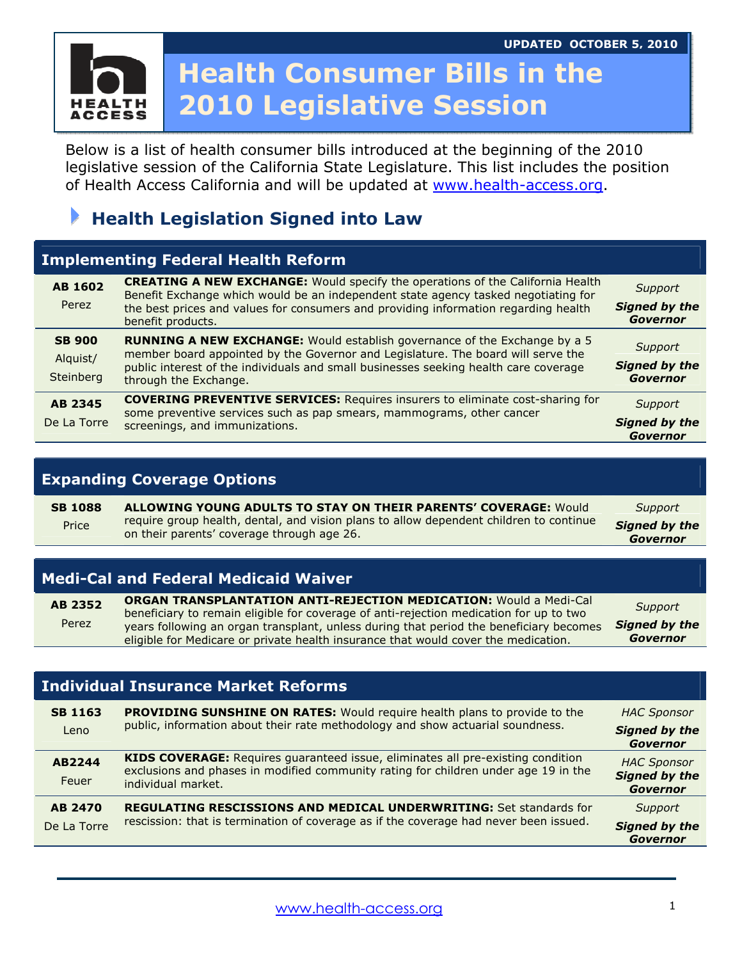### **Health Consumer Bills in the** 2010 Legislative Session HEALTH **ACCESS**

Below is a list of health consumer bills introduced at the beginning of the 2010 legislative session of the California State Legislature. This list includes the position of Health Access California and will be updated at www.health-access.org.

#### Health Legislation Signed into Law

| <b>Implementing Federal Health Reform</b> |                                                                                                                                                                                                                                                                                         |                                                    |  |
|-------------------------------------------|-----------------------------------------------------------------------------------------------------------------------------------------------------------------------------------------------------------------------------------------------------------------------------------------|----------------------------------------------------|--|
| <b>AB 1602</b><br>Perez                   | <b>CREATING A NEW EXCHANGE:</b> Would specify the operations of the California Health<br>Benefit Exchange which would be an independent state agency tasked negotiating for<br>the best prices and values for consumers and providing information regarding health<br>benefit products. | Support<br><b>Signed by the</b><br><b>Governor</b> |  |
| <b>SB 900</b><br>Alquist/<br>Steinberg    | <b>RUNNING A NEW EXCHANGE:</b> Would establish governance of the Exchange by a 5<br>member board appointed by the Governor and Legislature. The board will serve the<br>public interest of the individuals and small businesses seeking health care coverage<br>through the Exchange.   | Support<br><b>Signed by the</b><br>Governor        |  |
| AB 2345<br>De La Torre                    | <b>COVERING PREVENTIVE SERVICES:</b> Requires insurers to eliminate cost-sharing for<br>some preventive services such as pap smears, mammograms, other cancer<br>screenings, and immunizations.                                                                                         | Support<br><b>Signed by the</b><br><b>Governor</b> |  |

| <b>Expanding Coverage Options</b> |                                                                                                                                                                                                                |                                             |
|-----------------------------------|----------------------------------------------------------------------------------------------------------------------------------------------------------------------------------------------------------------|---------------------------------------------|
| <b>SB 1088</b><br>Price           | <b>ALLOWING YOUNG ADULTS TO STAY ON THEIR PARENTS' COVERAGE: Would</b><br>require group health, dental, and vision plans to allow dependent children to continue<br>on their parents' coverage through age 26. | Support<br>Signed by the<br><b>Governor</b> |
|                                   |                                                                                                                                                                                                                |                                             |

|                         | <b>Medi-Cal and Federal Medicaid Waiver</b>                                                                                                                                                                                                                                                                                                        |                                                    |
|-------------------------|----------------------------------------------------------------------------------------------------------------------------------------------------------------------------------------------------------------------------------------------------------------------------------------------------------------------------------------------------|----------------------------------------------------|
| <b>AB 2352</b><br>Perez | <b>ORGAN TRANSPLANTATION ANTI-REJECTION MEDICATION:</b> Would a Medi-Cal<br>beneficiary to remain eligible for coverage of anti-rejection medication for up to two<br>years following an organ transplant, unless during that period the beneficiary becomes<br>eligible for Medicare or private health insurance that would cover the medication. | Support<br><b>Signed by the</b><br><b>Governor</b> |

| <b>Individual Insurance Market Reforms</b> |                                                                                                                                                                                                     |                                                               |
|--------------------------------------------|-----------------------------------------------------------------------------------------------------------------------------------------------------------------------------------------------------|---------------------------------------------------------------|
| <b>SB 1163</b>                             | PROVIDING SUNSHINE ON RATES: Would require health plans to provide to the                                                                                                                           | <b>HAC Sponsor</b>                                            |
| Leno                                       | public, information about their rate methodology and show actuarial soundness.                                                                                                                      | <b>Signed by the</b><br><b>Governor</b>                       |
| AB2244<br>Feuer                            | <b>KIDS COVERAGE:</b> Requires quaranteed issue, eliminates all pre-existing condition<br>exclusions and phases in modified community rating for children under age 19 in the<br>individual market. | <b>HAC Sponsor</b><br><b>Signed by the</b><br><b>Governor</b> |
| <b>AB 2470</b><br>De La Torre              | <b>REGULATING RESCISSIONS AND MEDICAL UNDERWRITING: Set standards for</b><br>rescission: that is termination of coverage as if the coverage had never been issued.                                  | Support<br><b>Signed by the</b><br>Governor                   |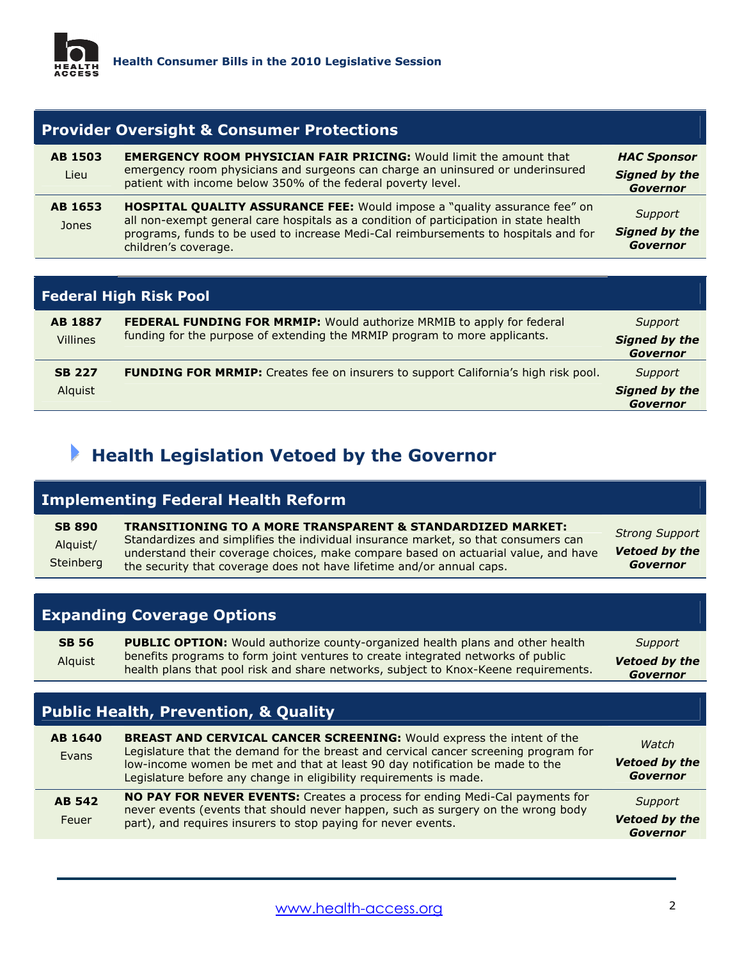

| <b>Provider Oversight &amp; Consumer Protections</b> |                                                                                                                                                                                                                                                                                          |                                                               |
|------------------------------------------------------|------------------------------------------------------------------------------------------------------------------------------------------------------------------------------------------------------------------------------------------------------------------------------------------|---------------------------------------------------------------|
| <b>AB 1503</b><br>Lieu                               | <b>EMERGENCY ROOM PHYSICIAN FAIR PRICING: Would limit the amount that</b><br>emergency room physicians and surgeons can charge an uninsured or underinsured<br>patient with income below 350% of the federal poverty level.                                                              | <b>HAC Sponsor</b><br><b>Signed by the</b><br><b>Governor</b> |
| AB 1653<br>Jones                                     | <b>HOSPITAL QUALITY ASSURANCE FEE:</b> Would impose a "quality assurance fee" on<br>all non-exempt general care hospitals as a condition of participation in state health<br>programs, funds to be used to increase Medi-Cal reimbursements to hospitals and for<br>children's coverage. | Support<br><b>Signed by the</b><br><b>Governor</b>            |

| <b>Federal High Risk Pool</b>     |                                                                                                                                                     |                                                    |
|-----------------------------------|-----------------------------------------------------------------------------------------------------------------------------------------------------|----------------------------------------------------|
| <b>AB 1887</b><br><b>Villines</b> | FEDERAL FUNDING FOR MRMIP: Would authorize MRMIB to apply for federal<br>funding for the purpose of extending the MRMIP program to more applicants. | Support<br>Signed by the<br><b>Governor</b>        |
| <b>SB 227</b><br>Alquist          | FUNDING FOR MRMIP: Creates fee on insurers to support California's high risk pool.                                                                  | Support<br><b>Signed by the</b><br><b>Governor</b> |

# **Health Legislation Vetoed by the Governor**

| <b>Implementing Federal Health Reform</b> |                                                                                                                                                                                                                                                                                                                            |                                                           |
|-------------------------------------------|----------------------------------------------------------------------------------------------------------------------------------------------------------------------------------------------------------------------------------------------------------------------------------------------------------------------------|-----------------------------------------------------------|
| <b>SB 890</b><br>Alquist/<br>Steinberg    | <b>TRANSITIONING TO A MORE TRANSPARENT &amp; STANDARDIZED MARKET:</b><br>Standardizes and simplifies the individual insurance market, so that consumers can<br>understand their coverage choices, make compare based on actuarial value, and have<br>the security that coverage does not have lifetime and/or annual caps. | <b>Strong Support</b><br><b>Vetoed by the</b><br>Governor |
|                                           |                                                                                                                                                                                                                                                                                                                            |                                                           |
|                                           | <b>Expanding Coverage Options</b>                                                                                                                                                                                                                                                                                          |                                                           |
| <b>SB 56</b><br>Alquist                   | <b>PUBLIC OPTION:</b> Would authorize county-organized health plans and other health<br>benefits programs to form joint ventures to create integrated networks of public<br>health plans that pool risk and share networks, subject to Knox-Keene requirements.                                                            | Support<br>Vetoed by the<br><b>Governor</b>               |
|                                           |                                                                                                                                                                                                                                                                                                                            |                                                           |
|                                           | <b>Public Health, Prevention, &amp; Quality</b>                                                                                                                                                                                                                                                                            |                                                           |
| <b>AB 1640</b><br>Evans                   | <b>BREAST AND CERVICAL CANCER SCREENING: Would express the intent of the</b><br>Legislature that the demand for the breast and cervical cancer screening program for<br>low-income women be met and that at least 90 day notification be made to the<br>Legislature before any change in eligibility requirements is made. | Watch<br>Vetoed by the<br>Governor                        |
| <b>AB 542</b><br><b>Feuer</b>             | NO PAY FOR NEVER EVENTS: Creates a process for ending Medi-Cal payments for<br>never events (events that should never happen, such as surgery on the wrong body<br>part), and requires insurers to stop paying for never events.                                                                                           | Support<br><b>Vetoed by the</b><br>Governor               |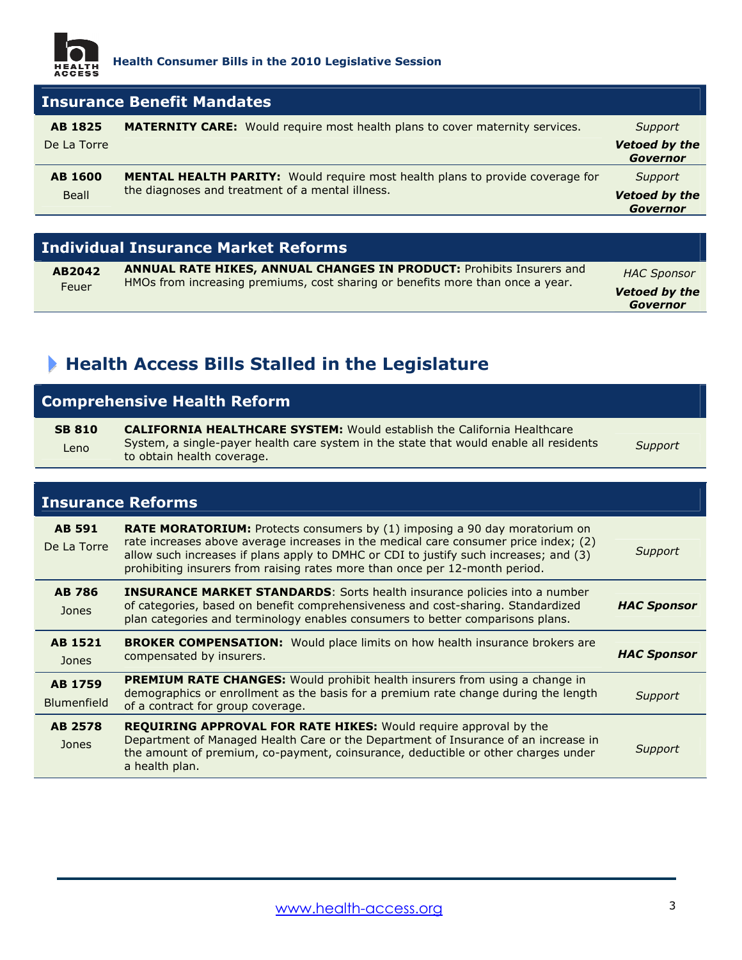

| <b>Insurance Benefit Mandates</b> |                                                                                                                                          |                                             |
|-----------------------------------|------------------------------------------------------------------------------------------------------------------------------------------|---------------------------------------------|
| <b>AB 1825</b>                    | <b>MATERNITY CARE:</b> Would require most health plans to cover maternity services.                                                      | Support                                     |
| De La Torre                       |                                                                                                                                          | Vetoed by the<br><b>Governor</b>            |
| <b>AB 1600</b><br>Beall           | <b>MENTAL HEALTH PARITY:</b> Would require most health plans to provide coverage for<br>the diagnoses and treatment of a mental illness. | Support<br>Vetoed by the<br><b>Governor</b> |
|                                   |                                                                                                                                          |                                             |

## Individual Insurance Market Reforms

| AB2042 | <b>ANNUAL RATE HIKES, ANNUAL CHANGES IN PRODUCT: Prohibits Insurers and</b><br>HMOs from increasing premiums, cost sharing or benefits more than once a year. | <b>HAC Sponsor</b>               |
|--------|---------------------------------------------------------------------------------------------------------------------------------------------------------------|----------------------------------|
| Feuer  |                                                                                                                                                               | <b>Vetoed by the</b><br>Governor |

## Health Access Bills Stalled in the Legislature

| <b>Comprehensive Health Reform</b> |                                                                                                                                                                                                                                                                                                                                                   |                    |  |
|------------------------------------|---------------------------------------------------------------------------------------------------------------------------------------------------------------------------------------------------------------------------------------------------------------------------------------------------------------------------------------------------|--------------------|--|
| <b>SB 810</b><br>Leno              | <b>CALIFORNIA HEALTHCARE SYSTEM:</b> Would establish the California Healthcare<br>System, a single-payer health care system in the state that would enable all residents<br>to obtain health coverage.                                                                                                                                            | Support            |  |
|                                    |                                                                                                                                                                                                                                                                                                                                                   |                    |  |
|                                    | <b>Insurance Reforms</b>                                                                                                                                                                                                                                                                                                                          |                    |  |
| <b>AB 591</b><br>De La Torre       | <b>RATE MORATORIUM:</b> Protects consumers by (1) imposing a 90 day moratorium on<br>rate increases above average increases in the medical care consumer price index; (2)<br>allow such increases if plans apply to DMHC or CDI to justify such increases; and (3)<br>prohibiting insurers from raising rates more than once per 12-month period. | Support            |  |
| <b>AB 786</b><br>Jones             | <b>INSURANCE MARKET STANDARDS:</b> Sorts health insurance policies into a number<br>of categories, based on benefit comprehensiveness and cost-sharing. Standardized<br>plan categories and terminology enables consumers to better comparisons plans.                                                                                            | <b>HAC Sponsor</b> |  |
| <b>AB 1521</b>                     |                                                                                                                                                                                                                                                                                                                                                   |                    |  |
| Jones                              | <b>BROKER COMPENSATION:</b> Would place limits on how health insurance brokers are<br>compensated by insurers.                                                                                                                                                                                                                                    | <b>HAC Sponsor</b> |  |
| AB 1759<br><b>Blumenfield</b>      | <b>PREMIUM RATE CHANGES:</b> Would prohibit health insurers from using a change in<br>demographics or enrollment as the basis for a premium rate change during the length<br>of a contract for group coverage.                                                                                                                                    | Support            |  |